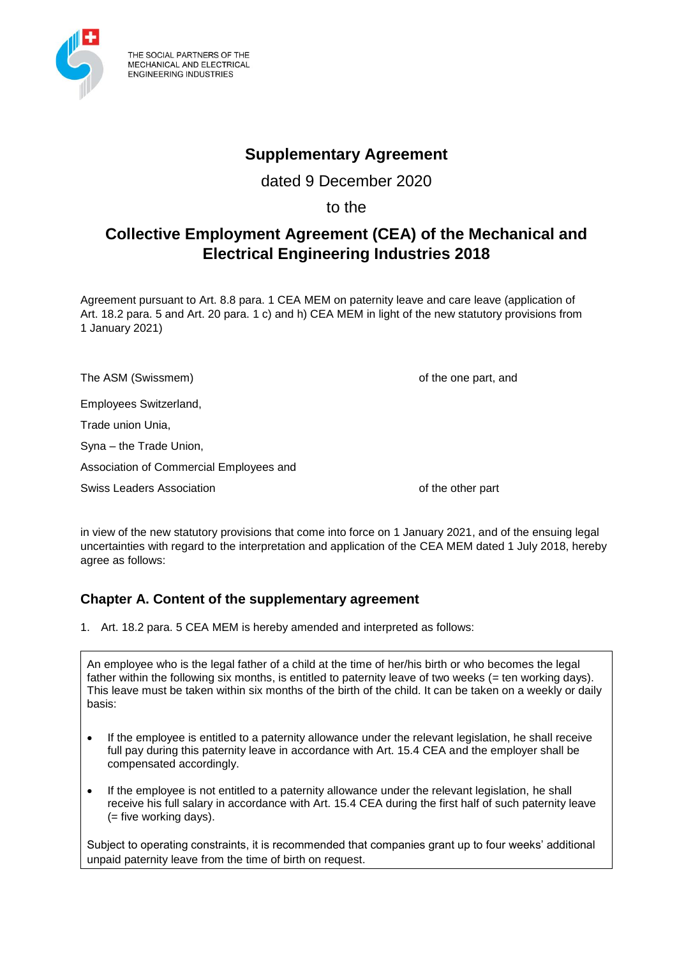

THE SOCIAL PARTNERS OF THE MECHANICAL AND ELECTRICAL **ENGINEERING INDUSTRIES** 

## **Supplementary Agreement**

dated 9 December 2020

to the

# **Collective Employment Agreement (CEA) of the Mechanical and Electrical Engineering Industries 2018**

Agreement pursuant to Art. 8.8 para. 1 CEA MEM on paternity leave and care leave (application of Art. 18.2 para. 5 and Art. 20 para. 1 c) and h) CEA MEM in light of the new statutory provisions from 1 January 2021)

The ASM (Swissmem) and the one part, and the one part, and

Employees Switzerland,

Trade union Unia,

Syna – the Trade Union,

Association of Commercial Employees and

Swiss Leaders Association **being a controlled as a controlled and the other part** of the other part

in view of the new statutory provisions that come into force on 1 January 2021, and of the ensuing legal uncertainties with regard to the interpretation and application of the CEA MEM dated 1 July 2018, hereby agree as follows:

## **Chapter A. Content of the supplementary agreement**

1. Art. 18.2 para. 5 CEA MEM is hereby amended and interpreted as follows:

An employee who is the legal father of a child at the time of her/his birth or who becomes the legal father within the following six months, is entitled to paternity leave of two weeks (= ten working days). This leave must be taken within six months of the birth of the child. It can be taken on a weekly or daily basis:

- If the employee is entitled to a paternity allowance under the relevant legislation, he shall receive full pay during this paternity leave in accordance with Art. 15.4 CEA and the employer shall be compensated accordingly.
- If the employee is not entitled to a paternity allowance under the relevant legislation, he shall receive his full salary in accordance with Art. 15.4 CEA during the first half of such paternity leave (= five working days).

Subject to operating constraints, it is recommended that companies grant up to four weeks' additional unpaid paternity leave from the time of birth on request.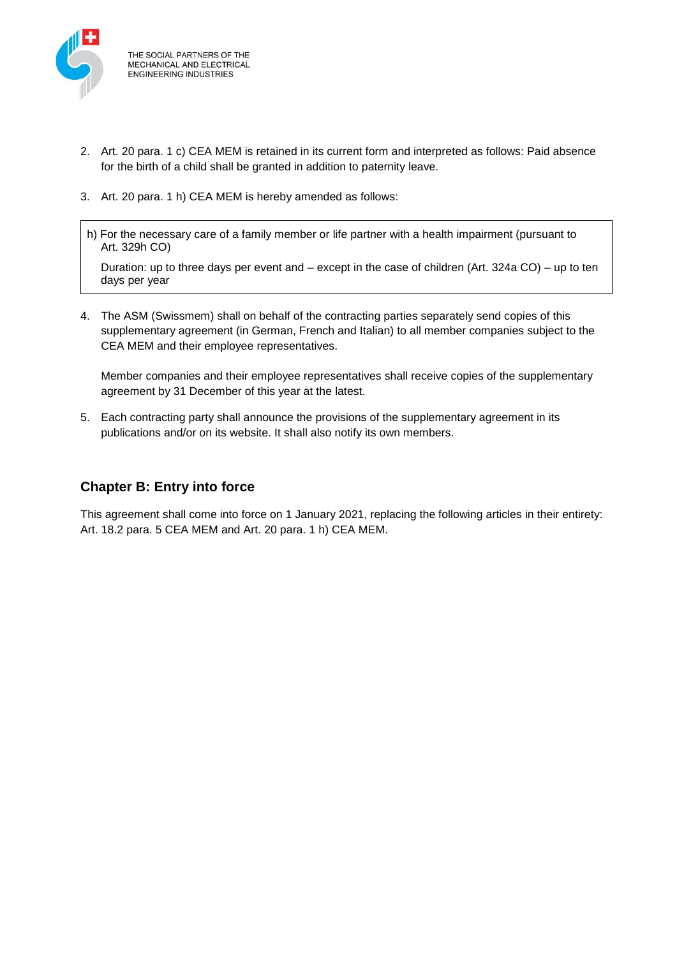

THE SOCIAL PARTNERS OF THE **MECHANICAL AND ELECTRICAL ENGINEERING INDUSTRIES** 

- 2. Art. 20 para. 1 c) CEA MEM is retained in its current form and interpreted as follows: Paid absence for the birth of a child shall be granted in addition to paternity leave.
- 3. Art. 20 para. 1 h) CEA MEM is hereby amended as follows:
- h) For the necessary care of a family member or life partner with a health impairment (pursuant to Art. 329h CO)

Duration: up to three days per event and – except in the case of children (Art. 324a CO) – up to ten days per year

4. The ASM (Swissmem) shall on behalf of the contracting parties separately send copies of this supplementary agreement (in German, French and Italian) to all member companies subject to the CEA MEM and their employee representatives.

Member companies and their employee representatives shall receive copies of the supplementary agreement by 31 December of this year at the latest.

5. Each contracting party shall announce the provisions of the supplementary agreement in its publications and/or on its website. It shall also notify its own members.

## **Chapter B: Entry into force**

This agreement shall come into force on 1 January 2021, replacing the following articles in their entirety: Art. 18.2 para. 5 CEA MEM and Art. 20 para. 1 h) CEA MEM.